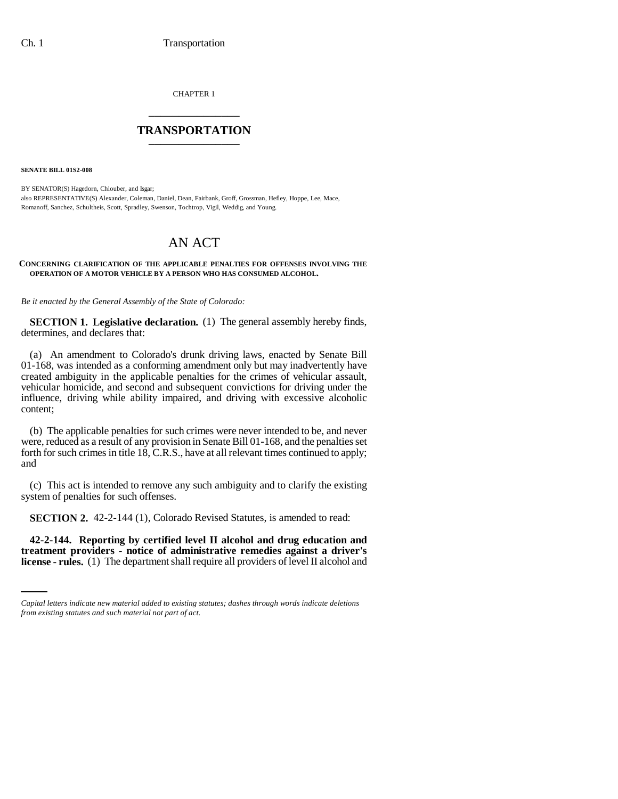CHAPTER 1 \_\_\_\_\_\_\_\_\_\_\_\_\_\_\_

# **TRANSPORTATION** \_\_\_\_\_\_\_\_\_\_\_\_\_\_\_

**SENATE BILL 01S2-008**

BY SENATOR(S) Hagedorn, Chlouber, and Isgar; also REPRESENTATIVE(S) Alexander, Coleman, Daniel, Dean, Fairbank, Groff, Grossman, Hefley, Hoppe, Lee, Mace, Romanoff, Sanchez, Schultheis, Scott, Spradley, Swenson, Tochtrop, Vigil, Weddig, and Young.

# AN ACT

#### **CONCERNING CLARIFICATION OF THE APPLICABLE PENALTIES FOR OFFENSES INVOLVING THE OPERATION OF A MOTOR VEHICLE BY A PERSON WHO HAS CONSUMED ALCOHOL.**

*Be it enacted by the General Assembly of the State of Colorado:*

**SECTION 1. Legislative declaration.** (1) The general assembly hereby finds, determines, and declares that:

(a) An amendment to Colorado's drunk driving laws, enacted by Senate Bill 01-168, was intended as a conforming amendment only but may inadvertently have created ambiguity in the applicable penalties for the crimes of vehicular assault, vehicular homicide, and second and subsequent convictions for driving under the influence, driving while ability impaired, and driving with excessive alcoholic content;

(b) The applicable penalties for such crimes were never intended to be, and never were, reduced as a result of any provision in Senate Bill 01-168, and the penalties set forth for such crimes in title 18, C.R.S., have at all relevant times continued to apply; and

(c) This act is intended to remove any such ambiguity and to clarify the existing system of penalties for such offenses.

**SECTION 2.** 42-2-144 (1), Colorado Revised Statutes, is amended to read:

 **42-2-144. Reporting by certified level II alcohol and drug education and treatment providers - notice of administrative remedies against a driver's license - rules.** (1) The department shall require all providers of level II alcohol and

*Capital letters indicate new material added to existing statutes; dashes through words indicate deletions from existing statutes and such material not part of act.*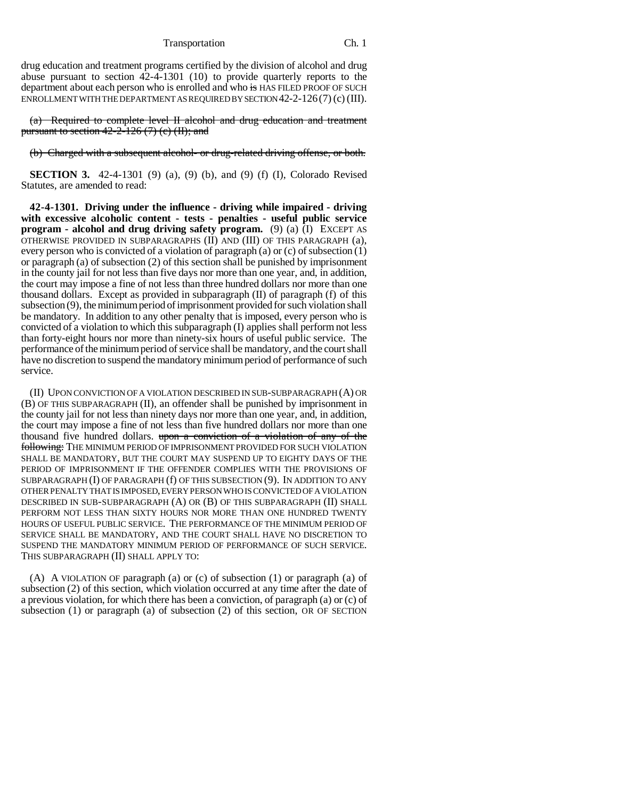Transportation Ch. 1

drug education and treatment programs certified by the division of alcohol and drug abuse pursuant to section 42-4-1301 (10) to provide quarterly reports to the department about each person who is enrolled and who is HAS FILED PROOF OF SUCH ENROLLMENT WITH THE DEPARTMENT AS REQUIRED BY SECTION 42-2-126(7) (c) (III).

(a) Required to complete level II alcohol and drug education and treatment pursuant to section  $42-2-126$  (7) (c) (II); and

(b) Charged with a subsequent alcohol- or drug-related driving offense, or both.

**SECTION 3.** 42-4-1301 (9) (a), (9) (b), and (9) (f) (I), Colorado Revised Statutes, are amended to read:

**42-4-1301. Driving under the influence - driving while impaired - driving with excessive alcoholic content - tests - penalties - useful public service program - alcohol and drug driving safety program.** (9) (a) (I) EXCEPT AS OTHERWISE PROVIDED IN SUBPARAGRAPHS (II) AND (III) OF THIS PARAGRAPH (a), every person who is convicted of a violation of paragraph (a) or (c) of subsection (1) or paragraph (a) of subsection (2) of this section shall be punished by imprisonment in the county jail for not less than five days nor more than one year, and, in addition, the court may impose a fine of not less than three hundred dollars nor more than one thousand dollars. Except as provided in subparagraph (II) of paragraph (f) of this subsection (9), the minimum period of imprisonment provided for such violation shall be mandatory. In addition to any other penalty that is imposed, every person who is convicted of a violation to which this subparagraph (I) applies shall perform not less than forty-eight hours nor more than ninety-six hours of useful public service. The performance of the minimum period of service shall be mandatory, and the court shall have no discretion to suspend the mandatory minimum period of performance of such service.

(II) UPON CONVICTION OF A VIOLATION DESCRIBED IN SUB-SUBPARAGRAPH (A) OR (B) OF THIS SUBPARAGRAPH (II), an offender shall be punished by imprisonment in the county jail for not less than ninety days nor more than one year, and, in addition, the court may impose a fine of not less than five hundred dollars nor more than one thousand five hundred dollars. upon a conviction of a violation of any of the following: THE MINIMUM PERIOD OF IMPRISONMENT PROVIDED FOR SUCH VIOLATION SHALL BE MANDATORY, BUT THE COURT MAY SUSPEND UP TO EIGHTY DAYS OF THE PERIOD OF IMPRISONMENT IF THE OFFENDER COMPLIES WITH THE PROVISIONS OF SUBPARAGRAPH (I) OF PARAGRAPH (f) OF THIS SUBSECTION (9). IN ADDITION TO ANY OTHER PENALTY THAT IS IMPOSED, EVERY PERSON WHO IS CONVICTED OF A VIOLATION DESCRIBED IN SUB-SUBPARAGRAPH (A) OR (B) OF THIS SUBPARAGRAPH (II) SHALL PERFORM NOT LESS THAN SIXTY HOURS NOR MORE THAN ONE HUNDRED TWENTY HOURS OF USEFUL PUBLIC SERVICE. THE PERFORMANCE OF THE MINIMUM PERIOD OF SERVICE SHALL BE MANDATORY, AND THE COURT SHALL HAVE NO DISCRETION TO SUSPEND THE MANDATORY MINIMUM PERIOD OF PERFORMANCE OF SUCH SERVICE. THIS SUBPARAGRAPH (II) SHALL APPLY TO:

(A) A VIOLATION OF paragraph (a) or (c) of subsection (1) or paragraph (a) of subsection (2) of this section, which violation occurred at any time after the date of a previous violation, for which there has been a conviction, of paragraph (a) or (c) of subsection (1) or paragraph (a) of subsection (2) of this section, OR OF SECTION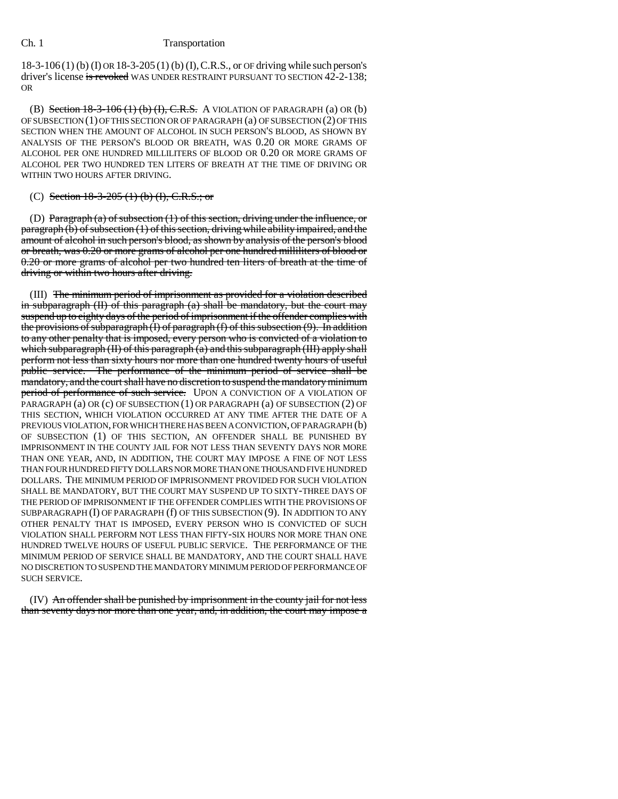### Ch. 1 Transportation

18-3-106 (1) (b) (I) OR 18-3-205 (1) (b) (I),C.R.S., or OF driving while such person's driver's license is revoked WAS UNDER RESTRAINT PURSUANT TO SECTION 42-2-138; OR

(B) Section  $18-3-106$  (1) (b)  $(1)$ , C.R.S. A VIOLATION OF PARAGRAPH (a) OR (b) OF SUBSECTION (1) OF THIS SECTION OR OF PARAGRAPH (a) OF SUBSECTION (2) OF THIS SECTION WHEN THE AMOUNT OF ALCOHOL IN SUCH PERSON'S BLOOD, AS SHOWN BY ANALYSIS OF THE PERSON'S BLOOD OR BREATH, WAS 0.20 OR MORE GRAMS OF ALCOHOL PER ONE HUNDRED MILLILITERS OF BLOOD OR 0.20 OR MORE GRAMS OF ALCOHOL PER TWO HUNDRED TEN LITERS OF BREATH AT THE TIME OF DRIVING OR WITHIN TWO HOURS AFTER DRIVING.

## (C) Section  $18-3-205$  (1) (b) (I), C.R.S.; or

(D) Paragraph (a) of subsection (1) of this section, driving under the influence, or paragraph (b) of subsection (1) of this section, driving while ability impaired, and the amount of alcohol in such person's blood, as shown by analysis of the person's blood or breath, was 0.20 or more grams of alcohol per one hundred milliliters of blood or 0.20 or more grams of alcohol per two hundred ten liters of breath at the time of driving or within two hours after driving.

(III) The minimum period of imprisonment as provided for a violation described in subparagraph (II) of this paragraph (a) shall be mandatory, but the court may suspend up to eighty days of the period of imprisonment if the offender complies with the provisions of subparagraph (I) of paragraph (f) of this subsection (9). In addition to any other penalty that is imposed, every person who is convicted of a violation to which subparagraph (II) of this paragraph (a) and this subparagraph (III) apply shall perform not less than sixty hours nor more than one hundred twenty hours of useful public service. The performance of the minimum period of service shall be mandatory, and the court shall have no discretion to suspend the mandatory minimum period of performance of such service. UPON A CONVICTION OF A VIOLATION OF PARAGRAPH (a) OR (c) OF SUBSECTION (1) OR PARAGRAPH (a) OF SUBSECTION (2) OF THIS SECTION, WHICH VIOLATION OCCURRED AT ANY TIME AFTER THE DATE OF A PREVIOUS VIOLATION, FOR WHICH THERE HAS BEEN A CONVICTION, OF PARAGRAPH (b) OF SUBSECTION (1) OF THIS SECTION, AN OFFENDER SHALL BE PUNISHED BY IMPRISONMENT IN THE COUNTY JAIL FOR NOT LESS THAN SEVENTY DAYS NOR MORE THAN ONE YEAR, AND, IN ADDITION, THE COURT MAY IMPOSE A FINE OF NOT LESS THAN FOUR HUNDRED FIFTY DOLLARS NOR MORE THAN ONE THOUSAND FIVE HUNDRED DOLLARS. THE MINIMUM PERIOD OF IMPRISONMENT PROVIDED FOR SUCH VIOLATION SHALL BE MANDATORY, BUT THE COURT MAY SUSPEND UP TO SIXTY-THREE DAYS OF THE PERIOD OF IMPRISONMENT IF THE OFFENDER COMPLIES WITH THE PROVISIONS OF SUBPARAGRAPH (I) OF PARAGRAPH (f) OF THIS SUBSECTION (9). IN ADDITION TO ANY OTHER PENALTY THAT IS IMPOSED, EVERY PERSON WHO IS CONVICTED OF SUCH VIOLATION SHALL PERFORM NOT LESS THAN FIFTY-SIX HOURS NOR MORE THAN ONE HUNDRED TWELVE HOURS OF USEFUL PUBLIC SERVICE. THE PERFORMANCE OF THE MINIMUM PERIOD OF SERVICE SHALL BE MANDATORY, AND THE COURT SHALL HAVE NO DISCRETION TO SUSPEND THE MANDATORY MINIMUM PERIOD OF PERFORMANCE OF SUCH SERVICE.

(IV) An offender shall be punished by imprisonment in the county jail for not less than seventy days nor more than one year, and, in addition, the court may impose a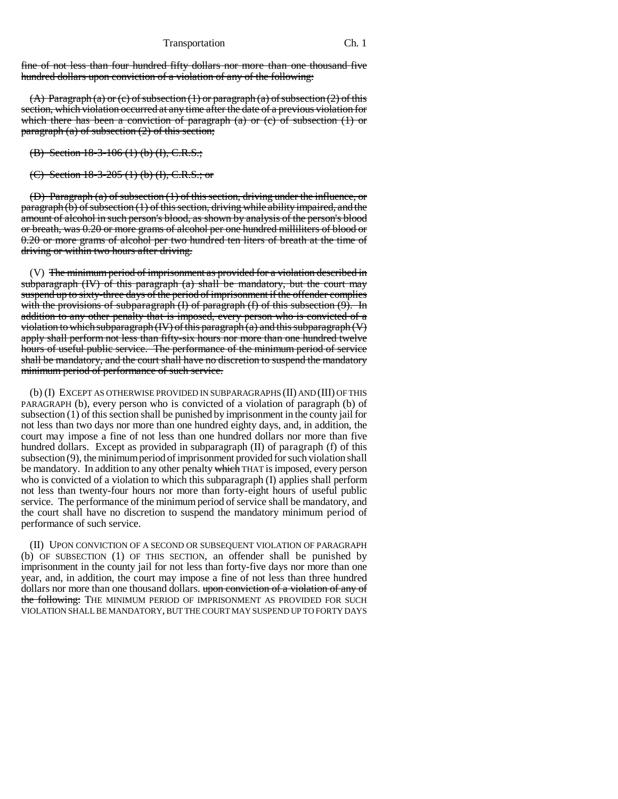#### Transportation Ch. 1

fine of not less than four hundred fifty dollars nor more than one thousand five hundred dollars upon conviction of a violation of any of the following:

(A) Paragraph (a) or (c) of subsection  $(1)$  or paragraph (a) of subsection  $(2)$  of this section, which violation occurred at any time after the date of a previous violation for which there has been a conviction of paragraph (a) or (c) of subsection (1) or paragraph  $(a)$  of subsection  $(2)$  of this section;

(B) Section 18-3-106 (1) (b) (I), C.R.S.;

(C) Section  $18-3-205$  (1) (b) (I), C.R.S.; or

(D) Paragraph (a) of subsection (1) of this section, driving under the influence, or paragraph (b) of subsection (1) of this section, driving while ability impaired, and the amount of alcohol in such person's blood, as shown by analysis of the person's blood or breath, was 0.20 or more grams of alcohol per one hundred milliliters of blood or 0.20 or more grams of alcohol per two hundred ten liters of breath at the time of driving or within two hours after driving.

(V) The minimum period of imprisonment as provided for a violation described in subparagraph  $(W)$  of this paragraph  $(a)$  shall be mandatory, but the court may suspend up to sixty-three days of the period of imprisonment if the offender complies with the provisions of subparagraph  $(I)$  of paragraph  $(I)$  of this subsection  $(9)$ . In addition to any other penalty that is imposed, every person who is convicted of a violation to which subparagraph  $(W)$  of this paragraph  $(a)$  and this subparagraph  $(V)$ apply shall perform not less than fifty-six hours nor more than one hundred twelve hours of useful public service. The performance of the minimum period of service shall be mandatory, and the court shall have no discretion to suspend the mandatory minimum period of performance of such service.

(b) (I) EXCEPT AS OTHERWISE PROVIDED IN SUBPARAGRAPHS (II) AND (III) OF THIS PARAGRAPH (b), every person who is convicted of a violation of paragraph (b) of subsection (1) of this section shall be punished by imprisonment in the county jail for not less than two days nor more than one hundred eighty days, and, in addition, the court may impose a fine of not less than one hundred dollars nor more than five hundred dollars. Except as provided in subparagraph (II) of paragraph (f) of this subsection (9), the minimum period of imprisonment provided for such violation shall be mandatory. In addition to any other penalty which THAT is imposed, every person who is convicted of a violation to which this subparagraph (I) applies shall perform not less than twenty-four hours nor more than forty-eight hours of useful public service. The performance of the minimum period of service shall be mandatory, and the court shall have no discretion to suspend the mandatory minimum period of performance of such service.

(II) UPON CONVICTION OF A SECOND OR SUBSEQUENT VIOLATION OF PARAGRAPH (b) OF SUBSECTION (1) OF THIS SECTION, an offender shall be punished by imprisonment in the county jail for not less than forty-five days nor more than one year, and, in addition, the court may impose a fine of not less than three hundred dollars nor more than one thousand dollars. upon conviction of a violation of any of the following: THE MINIMUM PERIOD OF IMPRISONMENT AS PROVIDED FOR SUCH VIOLATION SHALL BE MANDATORY, BUT THE COURT MAY SUSPEND UP TO FORTY DAYS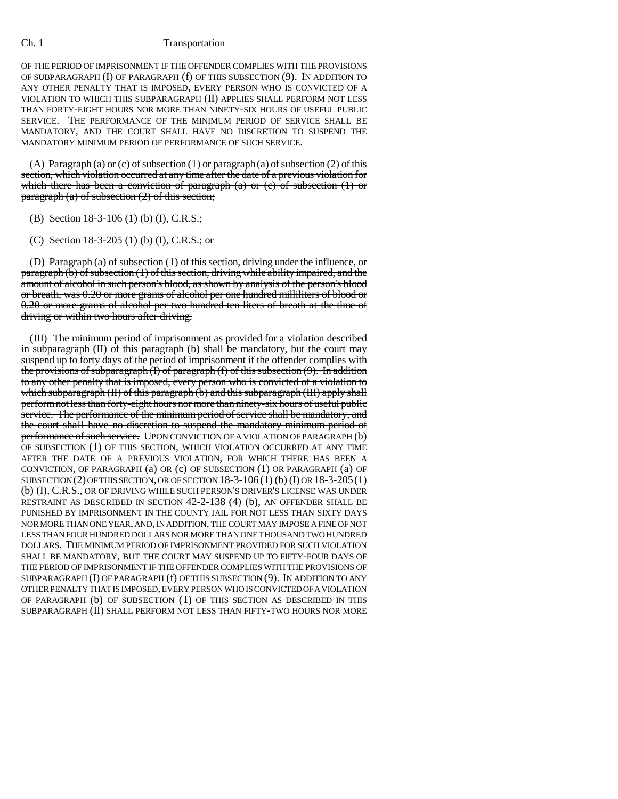### Ch. 1 Transportation

OF THE PERIOD OF IMPRISONMENT IF THE OFFENDER COMPLIES WITH THE PROVISIONS OF SUBPARAGRAPH (I) OF PARAGRAPH (f) OF THIS SUBSECTION (9). IN ADDITION TO ANY OTHER PENALTY THAT IS IMPOSED, EVERY PERSON WHO IS CONVICTED OF A VIOLATION TO WHICH THIS SUBPARAGRAPH (II) APPLIES SHALL PERFORM NOT LESS THAN FORTY-EIGHT HOURS NOR MORE THAN NINETY-SIX HOURS OF USEFUL PUBLIC SERVICE. THE PERFORMANCE OF THE MINIMUM PERIOD OF SERVICE SHALL BE MANDATORY, AND THE COURT SHALL HAVE NO DISCRETION TO SUSPEND THE MANDATORY MINIMUM PERIOD OF PERFORMANCE OF SUCH SERVICE.

(A) Paragraph (a) or (c) of subsection (1) or paragraph (a) of subsection (2) of this section, which violation occurred at any time after the date of a previous violation for which there has been a conviction of paragraph (a) or (c) of subsection  $(1)$  or paragraph  $(a)$  of subsection  $(2)$  of this section;

#### (B) Section  $18-3-106$  (1) (b) (I), C.R.S.;

(C) Section  $18-3-205$  (1) (b) (I), C.R.S.; or

(D) Paragraph (a) of subsection (1) of this section, driving under the influence, or paragraph (b) of subsection (1) of this section, driving while ability impaired, and the amount of alcohol in such person's blood, as shown by analysis of the person's blood or breath, was 0.20 or more grams of alcohol per one hundred milliliters of blood or 0.20 or more grams of alcohol per two hundred ten liters of breath at the time of driving or within two hours after driving.

(III) The minimum period of imprisonment as provided for a violation described in subparagraph (II) of this paragraph (b) shall be mandatory, but the court may suspend up to forty days of the period of imprisonment if the offender complies with the provisions of subparagraph  $(I)$  of paragraph  $(f)$  of this subsection  $(9)$ . In addition to any other penalty that is imposed, every person who is convicted of a violation to which subparagraph (II) of this paragraph (b) and this subparagraph (III) apply shall perform not less than forty-eight hours nor more than ninety-six hours of useful public service. The performance of the minimum period of service shall be mandatory, and the court shall have no discretion to suspend the mandatory minimum period of performance of such service. UPON CONVICTION OF A VIOLATION OF PARAGRAPH (b) OF SUBSECTION (1) OF THIS SECTION, WHICH VIOLATION OCCURRED AT ANY TIME AFTER THE DATE OF A PREVIOUS VIOLATION, FOR WHICH THERE HAS BEEN A CONVICTION, OF PARAGRAPH (a) OR (c) OF SUBSECTION (1) OR PARAGRAPH (a) OF SUBSECTION (2) OF THIS SECTION, OR OF SECTION 18-3-106 (1) (b) (I) OR 18-3-205(1) (b) (I), C.R.S., OR OF DRIVING WHILE SUCH PERSON'S DRIVER'S LICENSE WAS UNDER RESTRAINT AS DESCRIBED IN SECTION 42-2-138 (4) (b), AN OFFENDER SHALL BE PUNISHED BY IMPRISONMENT IN THE COUNTY JAIL FOR NOT LESS THAN SIXTY DAYS NOR MORE THAN ONE YEAR, AND, IN ADDITION, THE COURT MAY IMPOSE A FINE OF NOT LESS THAN FOUR HUNDRED DOLLARS NOR MORE THAN ONE THOUSAND TWO HUNDRED DOLLARS. THE MINIMUM PERIOD OF IMPRISONMENT PROVIDED FOR SUCH VIOLATION SHALL BE MANDATORY, BUT THE COURT MAY SUSPEND UP TO FIFTY-FOUR DAYS OF THE PERIOD OF IMPRISONMENT IF THE OFFENDER COMPLIES WITH THE PROVISIONS OF SUBPARAGRAPH (I) OF PARAGRAPH (f) OF THIS SUBSECTION (9). IN ADDITION TO ANY OTHER PENALTY THAT IS IMPOSED, EVERY PERSON WHO IS CONVICTED OF A VIOLATION OF PARAGRAPH (b) OF SUBSECTION (1) OF THIS SECTION AS DESCRIBED IN THIS SUBPARAGRAPH (II) SHALL PERFORM NOT LESS THAN FIFTY-TWO HOURS NOR MORE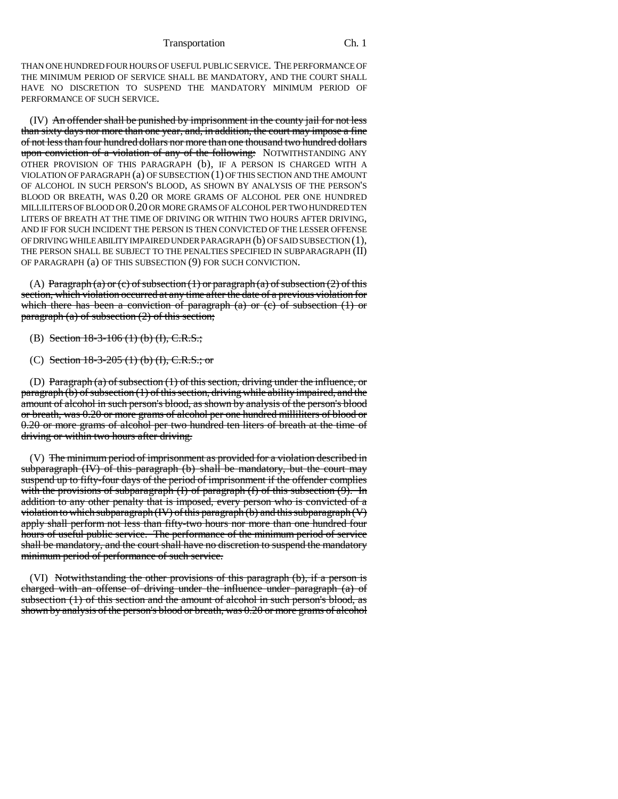THAN ONE HUNDRED FOUR HOURS OF USEFUL PUBLIC SERVICE. THE PERFORMANCE OF THE MINIMUM PERIOD OF SERVICE SHALL BE MANDATORY, AND THE COURT SHALL HAVE NO DISCRETION TO SUSPEND THE MANDATORY MINIMUM PERIOD OF PERFORMANCE OF SUCH SERVICE.

(IV) An offender shall be punished by imprisonment in the county jail for not less than sixty days nor more than one year, and, in addition, the court may impose a fine of not less than four hundred dollars nor more than one thousand two hundred dollars upon conviction of a violation of any of the following: NOTWITHSTANDING ANY OTHER PROVISION OF THIS PARAGRAPH (b), IF A PERSON IS CHARGED WITH A VIOLATION OF PARAGRAPH (a) OF SUBSECTION (1) OF THIS SECTION AND THE AMOUNT OF ALCOHOL IN SUCH PERSON'S BLOOD, AS SHOWN BY ANALYSIS OF THE PERSON'S BLOOD OR BREATH, WAS 0.20 OR MORE GRAMS OF ALCOHOL PER ONE HUNDRED MILLILITERS OF BLOOD OR 0.20 OR MORE GRAMS OF ALCOHOL PER TWO HUNDRED TEN LITERS OF BREATH AT THE TIME OF DRIVING OR WITHIN TWO HOURS AFTER DRIVING, AND IF FOR SUCH INCIDENT THE PERSON IS THEN CONVICTED OF THE LESSER OFFENSE OF DRIVING WHILE ABILITY IMPAIRED UNDER PARAGRAPH (b) OF SAID SUBSECTION (1), THE PERSON SHALL BE SUBJECT TO THE PENALTIES SPECIFIED IN SUBPARAGRAPH (II) OF PARAGRAPH (a) OF THIS SUBSECTION (9) FOR SUCH CONVICTION.

(A) Paragraph (a) or (c) of subsection (1) or paragraph (a) of subsection (2) of this section, which violation occurred at any time after the date of a previous violation for which there has been a conviction of paragraph (a) or (c) of subsection  $(1)$  or paragraph  $(a)$  of subsection  $(2)$  of this section;

- (B) Section 18-3-106 (1) (b) (I), C.R.S.;
- (C) Section  $18-3-205$  (1) (b) (I), C.R.S.; or

(D) Paragraph (a) of subsection (1) of this section, driving under the influence, or paragraph (b) of subsection (1) of this section, driving while ability impaired, and the amount of alcohol in such person's blood, as shown by analysis of the person's blood or breath, was 0.20 or more grams of alcohol per one hundred milliliters of blood or 0.20 or more grams of alcohol per two hundred ten liters of breath at the time of driving or within two hours after driving.

(V) The minimum period of imprisonment as provided for a violation described in subparagraph (IV) of this paragraph (b) shall be mandatory, but the court may suspend up to fifty-four days of the period of imprisonment if the offender complies with the provisions of subparagraph (I) of paragraph (f) of this subsection (9). In addition to any other penalty that is imposed, every person who is convicted of a violation to which subparagraph  $(W)$  of this paragraph  $(b)$  and this subparagraph  $(V)$ apply shall perform not less than fifty-two hours nor more than one hundred four hours of useful public service. The performance of the minimum period of service shall be mandatory, and the court shall have no discretion to suspend the mandatory minimum period of performance of such service.

(VI) Notwithstanding the other provisions of this paragraph (b), if a person is charged with an offense of driving under the influence under paragraph (a) of subsection (1) of this section and the amount of alcohol in such person's blood, as shown by analysis of the person's blood or breath, was 0.20 or more grams of alcohol